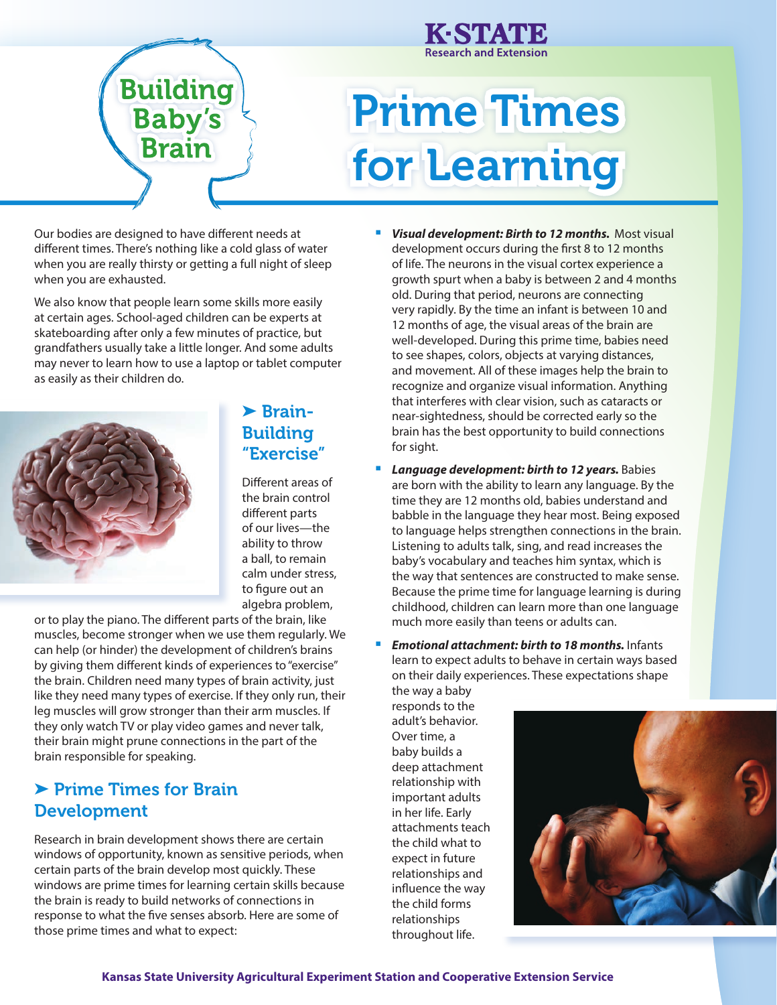

## **Research and Extension**

# Prime Times for Learning

Our bodies are designed to have different needs at different times. There's nothing like a cold glass of water when you are really thirsty or getting a full night of sleep when you are exhausted.

We also know that people learn some skills more easily at certain ages. School-aged children can be experts at skateboarding after only a few minutes of practice, but grandfathers usually take a little longer. And some adults may never to learn how to use a laptop or tablet computer as easily as their children do.



#### ➤ Brain-Building "Exercise"

Different areas of the brain control different parts of our lives—the ability to throw a ball, to remain calm under stress, to figure out an algebra problem,

or to play the piano. The different parts of the brain, like muscles, become stronger when we use them regularly. We can help (or hinder) the development of children's brains by giving them different kinds of experiences to "exercise" the brain. Children need many types of brain activity, just like they need many types of exercise. If they only run, their leg muscles will grow stronger than their arm muscles. If they only watch TV or play video games and never talk, their brain might prune connections in the part of the brain responsible for speaking.

### ▶ Prime Times for Brain Development

Research in brain development shows there are certain windows of opportunity, known as sensitive periods, when certain parts of the brain develop most quickly. These windows are prime times for learning certain skills because the brain is ready to build networks of connections in response to what the five senses absorb. Here are some of those prime times and what to expect:

- *Visual development: Birth to 12 months. Most visual* development occurs during the first 8 to 12 months of life. The neurons in the visual cortex experience a growth spurt when a baby is between 2 and 4 months old. During that period, neurons are connecting very rapidly. By the time an infant is between 10 and 12 months of age, the visual areas of the brain are well-developed. During this prime time, babies need to see shapes, colors, objects at varying distances, and movement. All of these images help the brain to recognize and organize visual information. Anything that interferes with clear vision, such as cataracts or near-sightedness, should be corrected early so the brain has the best opportunity to build connections for sight.
- *Language development: birth to 12 years.* Babies are born with the ability to learn any language. By the time they are 12 months old, babies understand and babble in the language they hear most. Being exposed to language helps strengthen connections in the brain. Listening to adults talk, sing, and read increases the baby's vocabulary and teaches him syntax, which is the way that sentences are constructed to make sense. Because the prime time for language learning is during childhood, children can learn more than one language much more easily than teens or adults can.
- *Emotional attachment: birth to 18 months.* Infants learn to expect adults to behave in certain ways based on their daily experiences. These expectations shape

the way a baby responds to the adult's behavior. Over time, a baby builds a deep attachment relationship with important adults in her life. Early attachments teach the child what to expect in future relationships and influence the way the child forms relationships throughout life.